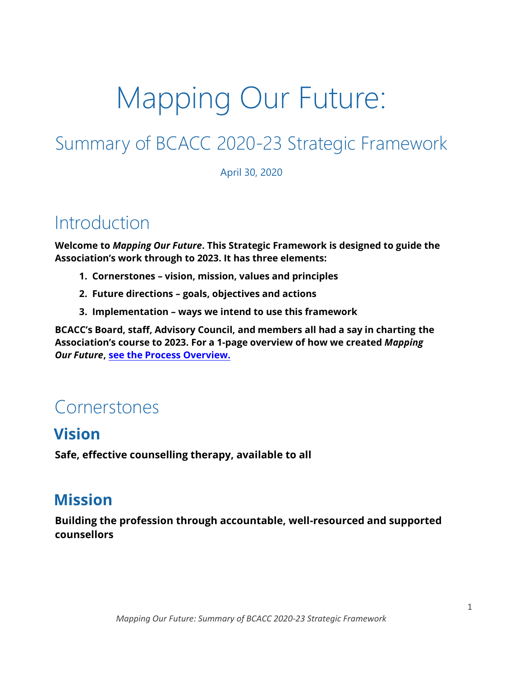# Mapping Our Future:

# Summary of BCACC 2020-23 Strategic Framework

April 30, 2020

## **Introduction**

**Welcome to** *Mapping Our Future***. This Strategic Framework is designed to guide the Association's work through to 2023. It has three elements:** 

- **1. Cornerstones – vision, mission, values and principles**
- **2. Future directions – goals, objectives and actions**
- **3. Implementation – ways we intend to use this framework**

**BCACC's Board, staff, Advisory Council, and members all had a say in charting the Association's course to 2023. For a 1-page overview of how we created** *Mapping Our Future***[, see the Process Overview](https://bc-counsellors.org/wp-content/uploads/2020/07/Process-Overview-Mapping-Our-Future-April-30-20.pdf).** 

## Cornerstones

### **Vision**

**Safe, effective counselling therapy, available to all** 

## **Mission**

**Building the profession through accountable, well-resourced and supported counsellors**